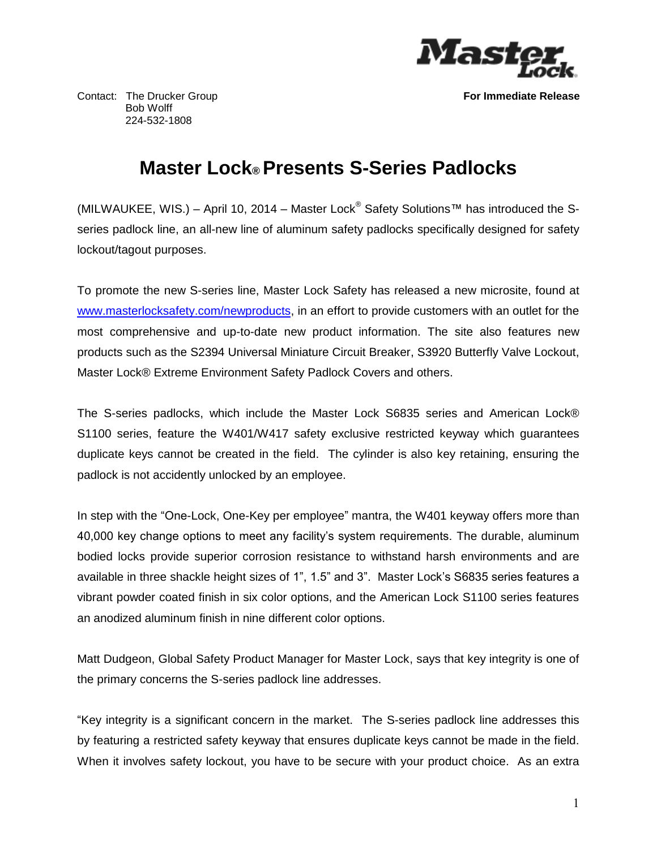

Contact: The Drucker Group **For Immediate Release** Bob Wolff 224-532-1808

## **Master Lock® Presents S-Series Padlocks**

(MILWAUKEE, WIS.) – April 10, 2014 – Master Lock® Safety Solutions™ has introduced the Sseries padlock line, an all-new line of aluminum safety padlocks specifically designed for safety lockout/tagout purposes.

To promote the new S-series line, Master Lock Safety has released a new microsite, found at [www.masterlocksafety.com/newproducts,](http://www.masterlocksafety.com/newproducts) in an effort to provide customers with an outlet for the most comprehensive and up-to-date new product information. The site also features new products such as the S2394 Universal Miniature Circuit Breaker, S3920 Butterfly Valve Lockout, Master Lock® Extreme Environment Safety Padlock Covers and others.

The S-series padlocks, which include the Master Lock S6835 series and American Lock® S1100 series, feature the W401/W417 safety exclusive restricted keyway which guarantees duplicate keys cannot be created in the field. The cylinder is also key retaining, ensuring the padlock is not accidently unlocked by an employee.

In step with the "One-Lock, One-Key per employee" mantra, the W401 keyway offers more than 40,000 key change options to meet any facility's system requirements. The durable, aluminum bodied locks provide superior corrosion resistance to withstand harsh environments and are available in three shackle height sizes of 1", 1.5" and 3". Master Lock's S6835 series features a vibrant powder coated finish in six color options, and the American Lock S1100 series features an anodized aluminum finish in nine different color options.

Matt Dudgeon, Global Safety Product Manager for Master Lock, says that key integrity is one of the primary concerns the S-series padlock line addresses.

"Key integrity is a significant concern in the market. The S-series padlock line addresses this by featuring a restricted safety keyway that ensures duplicate keys cannot be made in the field. When it involves safety lockout, you have to be secure with your product choice. As an extra